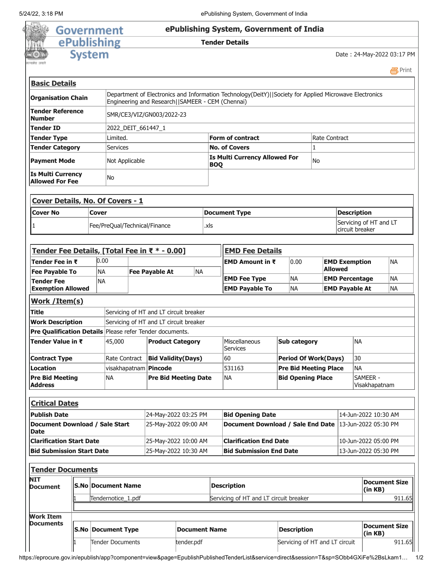

| <b>NIT</b><br><b>Document</b>        | <b>S.No Document Name</b> | <b>Description</b> | Servicing of HT and LT circuit breaker |                                  |
|--------------------------------------|---------------------------|--------------------|----------------------------------------|----------------------------------|
|                                      | Tendernotice 1.pdf        |                    |                                        |                                  |
|                                      |                           |                    |                                        |                                  |
|                                      |                           |                    |                                        |                                  |
| <b>Work Item</b><br><b>Documents</b> | <b>S.No Document Type</b> | Document Name      | <b>Description</b>                     | Document Size<br>$\vert$ (in KB) |